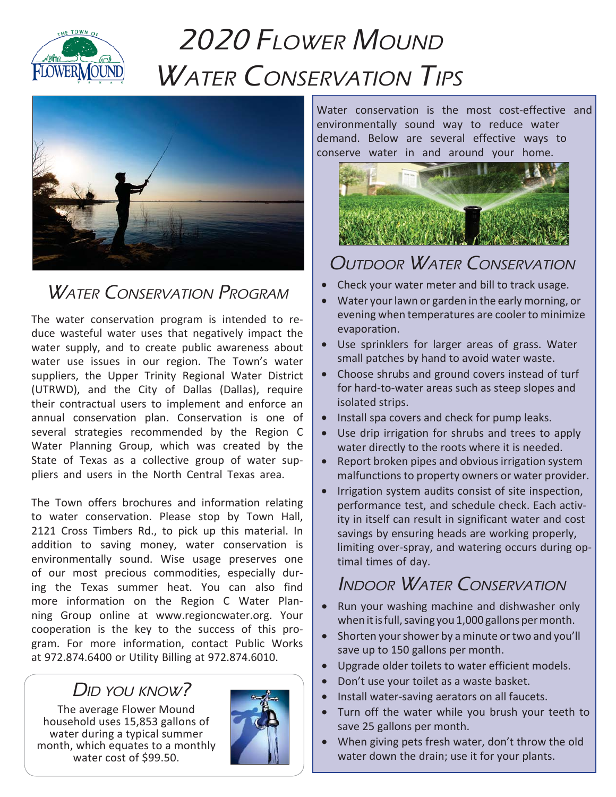

# 2020 FLOWER MOUND WATER CONSERVATION TIPS



#### WATER CONSERVATION PROGRAM

The water conservation program is intended to reduce wasteful water uses that negatively impact the water supply, and to create public awareness about water use issues in our region. The Town's water suppliers, the Upper Trinity Regional Water District (UTRWD), and the City of Dallas (Dallas), require their contractual users to implement and enforce an annual conservation plan. Conservation is one of several strategies recommended by the Region C Water Planning Group, which was created by the State of Texas as a collective group of water suppliers and users in the North Central Texas area.

The Town offers brochures and information relating to water conservation. Please stop by Town Hall, 2121 Cross Timbers Rd., to pick up this material. In addition to saving money, water conservation is environmentally sound. Wise usage preserves one of our most precious commodities, especially during the Texas summer heat. You can also find more information on the Region C Water Planning Group online at www.regioncwater.org. Your cooperation is the key to the success of this program. For more information, contact Public Works at 972.874.6400 or Utility Billing at 972.874.6010.

#### D<sub>ID</sub> YOU KNOW?

The average Flower Mound household uses 15,853 gallons of water during a typical summer month, which equates to a monthly water cost of \$99.50.



Water conservation is the most cost-effective and environmentally sound way to reduce water demand. Below are several effective ways to conserve water in and around your home.



#### OUTDOOR WATER CONSERVATION

- Check your water meter and bill to track usage.
- Water your lawn or garden in the early morning, or evening when temperatures are cooler to minimize evaporation.
- Use sprinklers for larger areas of grass. Water small patches by hand to avoid water waste.
- Choose shrubs and ground covers instead of turf for hard-to-water areas such as steep slopes and isolated strips.
- Install spa covers and check for pump leaks.
- Use drip irrigation for shrubs and trees to apply water directly to the roots where it is needed.
- Report broken pipes and obvious irrigation system malfunctions to property owners or water provider.
- Irrigation system audits consist of site inspection, performance test, and schedule check. Each activity in itself can result in significant water and cost savings by ensuring heads are working properly, limiting over-spray, and watering occurs during optimal times of day.

### INDOOR WATER CONSERVATION

- Run your washing machine and dishwasher only when it is full, saving you 1,000 gallons per month.
- Shorten your shower by a minute or two and you'll save up to 150 gallons per month.
- Upgrade older toilets to water efficient models.
- Don't use your toilet as a waste basket.
- Install water-saving aerators on all faucets.
- Turn off the water while you brush your teeth to save 25 gallons per month.
- When giving pets fresh water, don't throw the old water down the drain; use it for your plants.